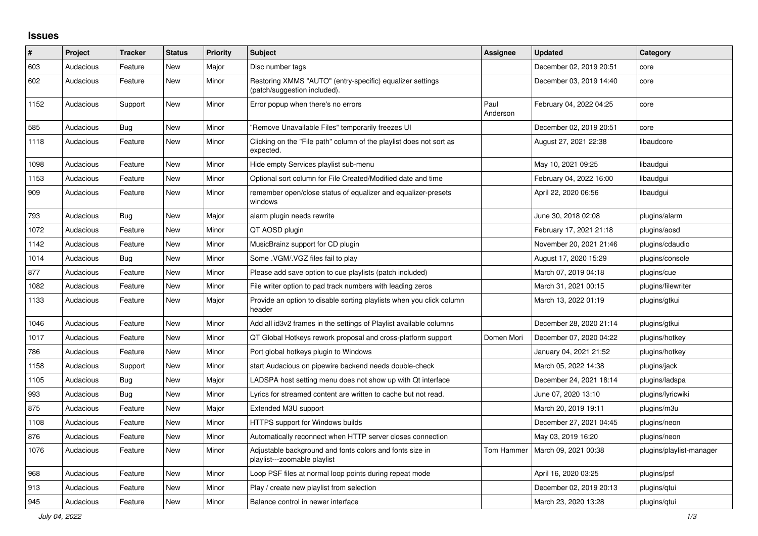## **Issues**

| $\#$ | Project   | <b>Tracker</b> | <b>Status</b> | <b>Priority</b> | <b>Subject</b>                                                                            | Assignee         | <b>Updated</b>          | Category                 |
|------|-----------|----------------|---------------|-----------------|-------------------------------------------------------------------------------------------|------------------|-------------------------|--------------------------|
| 603  | Audacious | Feature        | <b>New</b>    | Major           | Disc number tags                                                                          |                  | December 02, 2019 20:51 | core                     |
| 602  | Audacious | Feature        | New           | Minor           | Restoring XMMS "AUTO" (entry-specific) equalizer settings<br>(patch/suggestion included). |                  | December 03, 2019 14:40 | core                     |
| 1152 | Audacious | Support        | New           | Minor           | Error popup when there's no errors                                                        | Paul<br>Anderson | February 04, 2022 04:25 | core                     |
| 585  | Audacious | Bug            | <b>New</b>    | Minor           | "Remove Unavailable Files" temporarily freezes UI                                         |                  | December 02, 2019 20:51 | core                     |
| 1118 | Audacious | Feature        | New           | Minor           | Clicking on the "File path" column of the playlist does not sort as<br>expected.          |                  | August 27, 2021 22:38   | libaudcore               |
| 1098 | Audacious | Feature        | <b>New</b>    | Minor           | Hide empty Services playlist sub-menu                                                     |                  | May 10, 2021 09:25      | libaudgui                |
| 1153 | Audacious | Feature        | New           | Minor           | Optional sort column for File Created/Modified date and time                              |                  | February 04, 2022 16:00 | libaudgui                |
| 909  | Audacious | Feature        | New           | Minor           | remember open/close status of equalizer and equalizer-presets<br>windows                  |                  | April 22, 2020 06:56    | libaudgui                |
| 793  | Audacious | <b>Bug</b>     | <b>New</b>    | Major           | alarm plugin needs rewrite                                                                |                  | June 30, 2018 02:08     | plugins/alarm            |
| 1072 | Audacious | Feature        | New           | Minor           | QT AOSD plugin                                                                            |                  | February 17, 2021 21:18 | plugins/aosd             |
| 1142 | Audacious | Feature        | <b>New</b>    | Minor           | MusicBrainz support for CD plugin                                                         |                  | November 20, 2021 21:46 | plugins/cdaudio          |
| 1014 | Audacious | Bug            | New           | Minor           | Some .VGM/.VGZ files fail to play                                                         |                  | August 17, 2020 15:29   | plugins/console          |
| 877  | Audacious | Feature        | <b>New</b>    | Minor           | Please add save option to cue playlists (patch included)                                  |                  | March 07, 2019 04:18    | plugins/cue              |
| 1082 | Audacious | Feature        | New           | Minor           | File writer option to pad track numbers with leading zeros                                |                  | March 31, 2021 00:15    | plugins/filewriter       |
| 1133 | Audacious | Feature        | New           | Major           | Provide an option to disable sorting playlists when you click column<br>header            |                  | March 13, 2022 01:19    | plugins/gtkui            |
| 1046 | Audacious | Feature        | <b>New</b>    | Minor           | Add all id3v2 frames in the settings of Playlist available columns                        |                  | December 28, 2020 21:14 | plugins/gtkui            |
| 1017 | Audacious | Feature        | New           | Minor           | QT Global Hotkeys rework proposal and cross-platform support                              | Domen Mori       | December 07, 2020 04:22 | plugins/hotkey           |
| 786  | Audacious | Feature        | New           | Minor           | Port global hotkeys plugin to Windows                                                     |                  | January 04, 2021 21:52  | plugins/hotkey           |
| 1158 | Audacious | Support        | <b>New</b>    | Minor           | start Audacious on pipewire backend needs double-check                                    |                  | March 05, 2022 14:38    | plugins/jack             |
| 1105 | Audacious | Bug            | <b>New</b>    | Major           | LADSPA host setting menu does not show up with Qt interface                               |                  | December 24, 2021 18:14 | plugins/ladspa           |
| 993  | Audacious | <b>Bug</b>     | <b>New</b>    | Minor           | Lyrics for streamed content are written to cache but not read.                            |                  | June 07, 2020 13:10     | plugins/lyricwiki        |
| 875  | Audacious | Feature        | New           | Major           | Extended M3U support                                                                      |                  | March 20, 2019 19:11    | plugins/m3u              |
| 1108 | Audacious | Feature        | New           | Minor           | HTTPS support for Windows builds                                                          |                  | December 27, 2021 04:45 | plugins/neon             |
| 876  | Audacious | Feature        | New           | Minor           | Automatically reconnect when HTTP server closes connection                                |                  | May 03, 2019 16:20      | plugins/neon             |
| 1076 | Audacious | Feature        | New           | Minor           | Adjustable background and fonts colors and fonts size in<br>playlist---zoomable playlist  | Tom Hammer       | March 09, 2021 00:38    | plugins/playlist-manager |
| 968  | Audacious | Feature        | New           | Minor           | Loop PSF files at normal loop points during repeat mode                                   |                  | April 16, 2020 03:25    | plugins/psf              |
| 913  | Audacious | Feature        | <b>New</b>    | Minor           | Play / create new playlist from selection                                                 |                  | December 02, 2019 20:13 | plugins/gtui             |
| 945  | Audacious | Feature        | New           | Minor           | Balance control in newer interface                                                        |                  | March 23, 2020 13:28    | plugins/qtui             |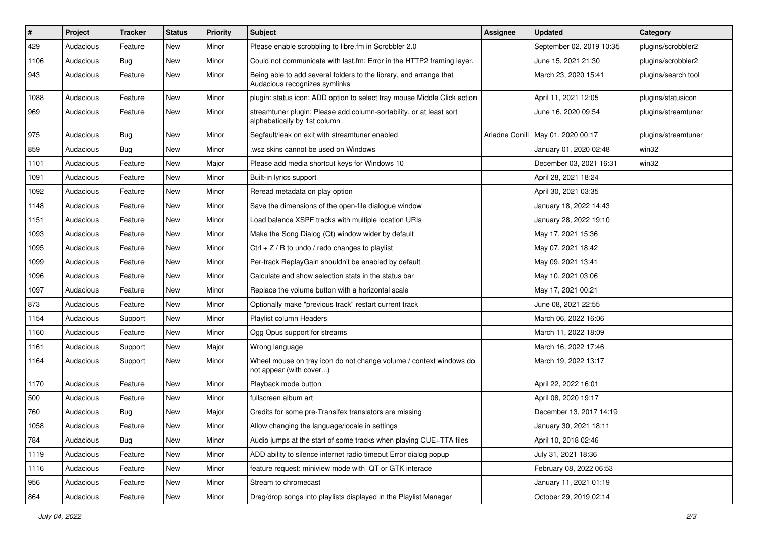| #    | Project   | <b>Tracker</b> | <b>Status</b> | <b>Priority</b> | Subject                                                                                             | <b>Assignee</b> | <b>Updated</b>                      | Category            |
|------|-----------|----------------|---------------|-----------------|-----------------------------------------------------------------------------------------------------|-----------------|-------------------------------------|---------------------|
| 429  | Audacious | Feature        | New           | Minor           | Please enable scrobbling to libre.fm in Scrobbler 2.0                                               |                 | September 02, 2019 10:35            | plugins/scrobbler2  |
| 1106 | Audacious | Bug            | New           | Minor           | Could not communicate with last.fm: Error in the HTTP2 framing layer.                               |                 | June 15, 2021 21:30                 | plugins/scrobbler2  |
| 943  | Audacious | Feature        | New           | Minor           | Being able to add several folders to the library, and arrange that<br>Audacious recognizes symlinks |                 | March 23, 2020 15:41                | plugins/search tool |
| 1088 | Audacious | Feature        | <b>New</b>    | Minor           | plugin: status icon: ADD option to select tray mouse Middle Click action                            |                 | April 11, 2021 12:05                | plugins/statusicon  |
| 969  | Audacious | Feature        | New           | Minor           | streamtuner plugin: Please add column-sortability, or at least sort<br>alphabetically by 1st column |                 | June 16, 2020 09:54                 | plugins/streamtuner |
| 975  | Audacious | <b>Bug</b>     | New           | Minor           | Segfault/leak on exit with streamtuner enabled                                                      |                 | Ariadne Conill   May 01, 2020 00:17 | plugins/streamtuner |
| 859  | Audacious | <b>Bug</b>     | <b>New</b>    | Minor           | wsz skins cannot be used on Windows                                                                 |                 | January 01, 2020 02:48              | win32               |
| 1101 | Audacious | Feature        | <b>New</b>    | Major           | Please add media shortcut keys for Windows 10                                                       |                 | December 03, 2021 16:31             | win32               |
| 1091 | Audacious | Feature        | New           | Minor           | Built-in lyrics support                                                                             |                 | April 28, 2021 18:24                |                     |
| 1092 | Audacious | Feature        | New           | Minor           | Reread metadata on play option                                                                      |                 | April 30, 2021 03:35                |                     |
| 1148 | Audacious | Feature        | New           | Minor           | Save the dimensions of the open-file dialogue window                                                |                 | January 18, 2022 14:43              |                     |
| 1151 | Audacious | Feature        | New           | Minor           | Load balance XSPF tracks with multiple location URIs                                                |                 | January 28, 2022 19:10              |                     |
| 1093 | Audacious | Feature        | <b>New</b>    | Minor           | Make the Song Dialog (Qt) window wider by default                                                   |                 | May 17, 2021 15:36                  |                     |
| 1095 | Audacious | Feature        | New           | Minor           | $Ctrl + Z / R$ to undo / redo changes to playlist                                                   |                 | May 07, 2021 18:42                  |                     |
| 1099 | Audacious | Feature        | <b>New</b>    | Minor           | Per-track ReplayGain shouldn't be enabled by default                                                |                 | May 09, 2021 13:41                  |                     |
| 1096 | Audacious | Feature        | New           | Minor           | Calculate and show selection stats in the status bar                                                |                 | May 10, 2021 03:06                  |                     |
| 1097 | Audacious | Feature        | New           | Minor           | Replace the volume button with a horizontal scale                                                   |                 | May 17, 2021 00:21                  |                     |
| 873  | Audacious | Feature        | <b>New</b>    | Minor           | Optionally make "previous track" restart current track                                              |                 | June 08, 2021 22:55                 |                     |
| 1154 | Audacious | Support        | New           | Minor           | Playlist column Headers                                                                             |                 | March 06, 2022 16:06                |                     |
| 1160 | Audacious | Feature        | New           | Minor           | Ogg Opus support for streams                                                                        |                 | March 11, 2022 18:09                |                     |
| 1161 | Audacious | Support        | New           | Major           | Wrong language                                                                                      |                 | March 16, 2022 17:46                |                     |
| 1164 | Audacious | Support        | New           | Minor           | Wheel mouse on tray icon do not change volume / context windows do<br>not appear (with cover)       |                 | March 19, 2022 13:17                |                     |
| 1170 | Audacious | Feature        | New           | Minor           | Playback mode button                                                                                |                 | April 22, 2022 16:01                |                     |
| 500  | Audacious | Feature        | New           | Minor           | fullscreen album art                                                                                |                 | April 08, 2020 19:17                |                     |
| 760  | Audacious | <b>Bug</b>     | <b>New</b>    | Major           | Credits for some pre-Transifex translators are missing                                              |                 | December 13, 2017 14:19             |                     |
| 1058 | Audacious | Feature        | New           | Minor           | Allow changing the language/locale in settings                                                      |                 | January 30, 2021 18:11              |                     |
| 784  | Audacious | Bug            | New           | Minor           | Audio jumps at the start of some tracks when playing CUE+TTA files                                  |                 | April 10, 2018 02:46                |                     |
| 1119 | Audacious | Feature        | New           | Minor           | ADD ability to silence internet radio timeout Error dialog popup                                    |                 | July 31, 2021 18:36                 |                     |
| 1116 | Audacious | Feature        | New           | Minor           | feature request: miniview mode with QT or GTK interace                                              |                 | February 08, 2022 06:53             |                     |
| 956  | Audacious | Feature        | New           | Minor           | Stream to chromecast                                                                                |                 | January 11, 2021 01:19              |                     |
| 864  | Audacious | Feature        | New           | Minor           | Drag/drop songs into playlists displayed in the Playlist Manager                                    |                 | October 29, 2019 02:14              |                     |